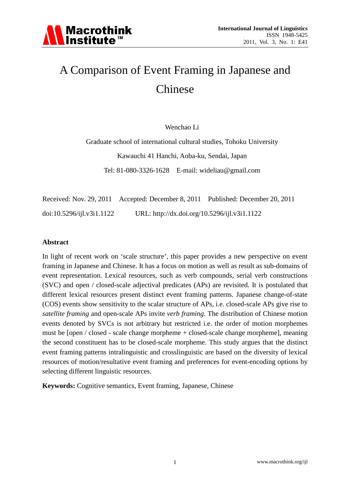

## A Comparison of Event Framing in Japanese and Chinese

Wenchao Li

Graduate school of international cultural studies, Tohoku University Kawauchi 41 Hanchi, Aoba-ku, Sendai, Japan Tel: 81-080-3326-1628 E-mail: wideliau@gmail.com

Received: Nov. 29, 2011 Accepted: December 8, 2011 Published: December 20, 2011 doi:10.5296/ijl.v3i1.1122 URL: http://dx.doi.org/10.5296/ijl.v3i1.1122

#### **Abstract**

In light of recent work on 'scale structure', this paper provides a new perspective on event framing in Japanese and Chinese. It has a focus on motion as well as result as sub-domains of event representation. Lexical resources, such as verb compounds, serial verb constructions (SVC) and open / closed-scale adjectival predicates (APs) are revisited. It is postulated that different lexical resources present distinct event framing patterns. Japanese change-of-state (COS) events show sensitivity to the scalar structure of APs, i.e. closed-scale APs give rise to *satellite framing* and open-scale APs invite *verb framing*. The distribution of Chinese motion events denoted by SVCs is not arbitrary but restricted i.e. the order of motion morphemes must be [open / closed - scale change morpheme + closed-scale change morpheme], meaning the second constituent has to be closed-scale morpheme. This study argues that the distinct event framing patterns intralinguistic and crosslinguistic are based on the diversity of lexical resources of motion/resultative event framing and preferences for event-encoding options by selecting different linguistic resources.

**Keywords:** Cognitive semantics, Event framing, Japanese, Chinese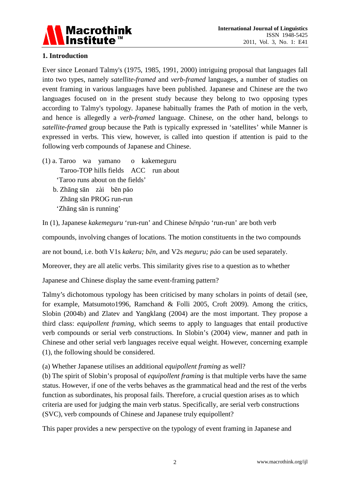

## **1. Introduction**

Ever since Leonard Talmy's (1975, 1985, 1991, 2000) intriguing proposal that languages fall into two types, namely *satellite-framed* and *verb-framed* languages, a number of studies on event framing in various languages have been published. Japanese and Chinese are the two languages focused on in the present study because they belong to two opposing types according to Talmy's typology. Japanese habitually frames the Path of motion in the verb, and hence is allegedly a *verb-framed* language. Chinese, on the other hand, belongs to *satellite-framed* group because the Path is typically expressed in 'satellites' while Manner is expressed in verbs. This view, however, is called into question if attention is paid to the following verb compounds of Japanese and Chinese.

- (1) a. Taroo wa yamano o kakemeguru Taroo-TOP hills fields ACC run about 'Taroo runs about on the fields'
	- b. Zhāng sān zài bēn pǎo Zhāng sān PROG run-run 'Zhāng sān is running'

In (1), Japanese *kakemeguru* 'run-run' and Chinese *bēnpǎo* 'run-run' are both verb

compounds, involving changes of locations. The motion constituents in the two compounds

are not bound, i.e. both V1s *kakeru; bēn*, and V2s *meguru; pǎo* can be used separately.

Moreover, they are all atelic verbs. This similarity gives rise to a question as to whether

Japanese and Chinese display the same event-framing pattern?

Talmy's dichotomous typology has been criticised by many scholars in points of detail (see, for example, Matsumoto1996, Ramchand & Folli 2005, Croft 2009). Among the critics, Slobin (2004b) and Zlatev and Yangklang (2004) are the most important. They propose a third class: *equipollent framing*, which seems to apply to languages that entail productive verb compounds or serial verb constructions. In Slobin's (2004) view, manner and path in Chinese and other serial verb languages receive equal weight. However, concerning example (1), the following should be considered.

(a) Whether Japanese utilises an additional *equipollent framing* as well?

(b) The spirit of Slobin's proposal of *equipollent framing* is that multiple verbs have the same status. However, if one of the verbs behaves as the grammatical head and the rest of the verbs function as subordinates, his proposal fails. Therefore, a crucial question arises as to which criteria are used for judging the main verb status. Specifically, are serial verb constructions (SVC), verb compounds of Chinese and Japanese truly equipollent?

This paper provides a new perspective on the typology of event framing in Japanese and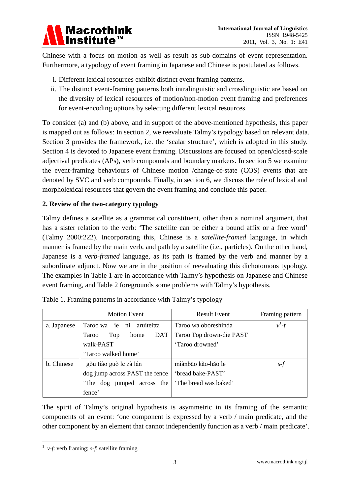

Chinese with a focus on motion as well as result as sub-domains of event representation. Furthermore, a typology of event framing in Japanese and Chinese is postulated as follows.

- i. Different lexical resources exhibit distinct event framing patterns.
- ii. The distinct event-framing patterns both intralinguistic and crosslinguistic are based on the diversity of lexical resources of motion/non-motion event framing and preferences for event-encoding options by selecting different lexical resources.

To consider (a) and (b) above, and in support of the above-mentioned hypothesis, this paper is mapped out as follows: In section 2, we reevaluate Talmy's typology based on relevant data. Section 3 provides the framework, i.e. the 'scalar structure', which is adopted in this study. Section 4 is devoted to Japanese event framing. Discussions are focused on open/closed-scale adjectival predicates (APs), verb compounds and boundary markers. In section 5 we examine the event-framing behaviours of Chinese motion /change-of-state (COS) events that are denoted by SVC and verb compounds. Finally, in section 6, we discuss the role of lexical and morpholexical resources that govern the event framing and conclude this paper.

## **2. Review of the two-category typology**

Talmy defines a satellite as a grammatical constituent, other than a nominal argument, that has a sister relation to the verb: 'The satellite can be either a bound affix or a free word' (Talmy 2000:222). Incorporating this, Chinese is a *satellite-framed* language, in which manner is framed by the main verb, and path by a satellite (i.e., particles). On the other hand, Japanese is a *verb-framed* language, as its path is framed by the verb and manner by a subordinate adjunct. Now we are in the position of reevaluating this dichotomous typology. The examples in Table 1 are in accordance with Talmy's hypothesis on Japanese and Chinese event framing, and Table 2 foregrounds some problems with Talmy's hypothesis.

|             | <b>Motion Event</b>            | <b>Result Event</b>      | Framing pattern |
|-------------|--------------------------------|--------------------------|-----------------|
| a. Japanese | Taroo wa ie ni aruiteitta      | Taroo wa oboreshinda     | $v'$ -f         |
|             | DAT<br>Top<br>home<br>Taroo    | Taroo Top drown-die PAST |                 |
|             | walk-PAST                      | 'Taroo drowned'          |                 |
|             | 'Taroo walked home'            |                          |                 |
| b. Chinese  | gou tiào guò le zà lán         | miànbāo kǎo-hǎo le       | s-f             |
|             | dog jump across PAST the fence | 'bread bake-PAST'        |                 |
|             | dog jumped across the<br>'The  | 'The bread was baked'    |                 |
|             | fence'                         |                          |                 |

|  | Table 1. Framing patterns in accordance with Talmy's typology |  |  |
|--|---------------------------------------------------------------|--|--|
|  |                                                               |  |  |
|  |                                                               |  |  |
|  |                                                               |  |  |

The spirit of Talmy's original hypothesis is asymmetric in its framing of the semantic components of an event: 'one component is expressed by a verb / main predicate, and the other component by an element that cannot independently function as a verb / main predicate'.

 $\frac{1}{r}$  *v-f*: verb framing; *s-f*: satellite framing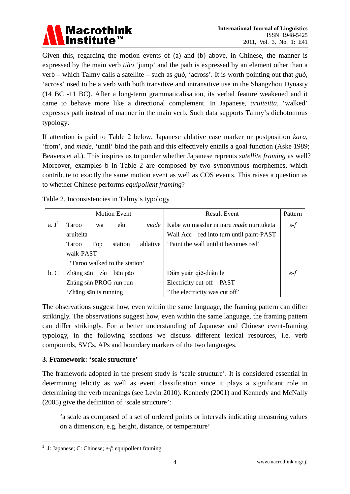

Given this, regarding the motion events of (a) and (b) above, in Chinese, the manner is expressed by the main verb *tiào* 'jump' and the path is expressed by an element other than a verb – which Talmy calls a satellite – such as *guò,* 'across'. It is worth pointing out that *guò,* 'across' used to be a verb with both transitive and intransitive use in the Shangzhou Dynasty (14 BC -11 BC). After a long-term grammaticalisation, its verbal feature weakened and it came to behave more like a directional complement. In Japanese, *aruiteitta*, 'walked' expresses path instead of manner in the main verb. Such data supports Talmy's dichotomous typology.

If attention is paid to Table 2 below, Japanese ablative case marker or postposition *kara, '*from', and *made,* 'until' bind the path and this effectively entails a goal function (Aske 1989; Beavers et al.). This inspires us to ponder whether Japanese reprents *satellite framing* as well? Moreover, examples b in Table 2 are composed by two synonymous morphemes, which contribute to exactly the same motion event as well as COS events. This raises a question as to whether Chinese performs *equipollent framing*?

Table 2*.* Inconsistencies in Talmy's typology

|                   | <b>Motion Event</b>   |     |                               |          | <b>Result Event</b>                            | Pattern |
|-------------------|-----------------------|-----|-------------------------------|----------|------------------------------------------------|---------|
| a. J <sup>2</sup> | Taroo                 | wa  | eki                           | made     | Kabe wo masshir ni naru <i>made</i> nurituketa | $s-f$   |
|                   | aruiteita             |     |                               |          | Wall Acc red into turn until paint-PAST        |         |
|                   | Taroo                 | Top | station                       | ablative | 'Paint the wall until it becomes red'          |         |
|                   | walk-PAST             |     |                               |          |                                                |         |
|                   |                       |     | 'Taroo walked to the station' |          |                                                |         |
| b. C              |                       |     | Zhāng sān zài bēn pǎo         |          | Diàn yuán qiē-duàn le                          | $e-f$   |
|                   |                       |     | Zhāng sān PROG run-run        |          | Electricity cut-off PAST                       |         |
|                   | 'Zhāng sān is running |     |                               |          | 'The electricity was cut off'                  |         |

The observations suggest how, even within the same language, the framing pattern can differ strikingly. The observations suggest how, even within the same language, the framing pattern can differ strikingly. For a better understanding of Japanese and Chinese event-framing typology, in the following sections we discuss different lexical resources, i.e. verb compounds, SVCs, APs and boundary markers of the two languages.

## **3. Framework: 'scale structure'**

The framework adopted in the present study is 'scale structure'. It is considered essential in determining telicity as well as event classification since it plays a significant role in determining the verb meanings (see Levin 2010). Kennedy (2001) and Kennedy and McNally (2005) give the definition of 'scale structure':

'a scale as composed of a set of ordered points or intervals indicating measuring values on a dimension, e.g. height, distance, or temperature'

 <sup>2</sup> J: Japanese; C: Chinese; *e-f*: equipollent framing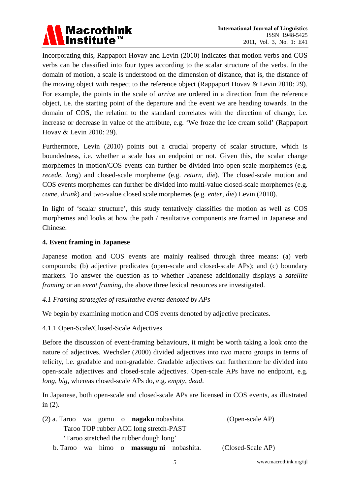

Incorporating this, Rappaport Hovav and Levin (2010) indicates that motion verbs and COS verbs can be classified into four types according to the scalar structure of the verbs. In the domain of motion, a scale is understood on the dimension of distance, that is, the distance of the moving object with respect to the reference object (Rappaport Hovav & Levin 2010: 29). For example, the points in the scale of *arrive* are ordered in a direction from the reference object, i.e. the starting point of the departure and the event we are heading towards. In the domain of COS, the relation to the standard correlates with the direction of change, i.e. increase or decrease in value of the attribute, e.g. 'We froze the ice cream solid' (Rappaport Hovav & Levin 2010: 29).

Furthermore, Levin (2010) points out a crucial property of scalar structure, which is boundedness, i.e. whether a scale has an endpoint or not. Given this, the scalar change morphemes in motion/COS events can further be divided into open-scale morphemes (e.g. *recede, long*) and closed-scale morpheme (e.g. *return, die*). The closed-scale motion and COS events morphemes can further be divided into multi-value closed-scale morphemes (e.g. *come, drunk*) and two-value closed scale morphemes (e.g*. enter, die*) Levin (2010).

In light of 'scalar structure', this study tentatively classifies the motion as well as COS morphemes and looks at how the path / resultative components are framed in Japanese and Chinese.

## **4. Event framing in Japanese**

Japanese motion and COS events are mainly realised through three means: (a) verb compounds; (b) adjective predicates (open-scale and closed-scale APs); and (c) boundary markers. To answer the question as to whether Japanese additionally displays a *satellite framing* or an *event framing*, the above three lexical resources are investigated.

## *4.1 Framing strategies of resultative events denoted by APs*

We begin by examining motion and COS events denoted by adjective predicates.

## 4.1.1 Open-Scale/Closed-Scale Adjectives

Before the discussion of event-framing behaviours, it might be worth taking a look onto the nature of adjectives. Wechsler (2000) divided adjectives into two macro groups in terms of telicity, i.e. gradable and non-gradable. Gradable adjectives can furthermore be divided into open-scale adjectives and closed-scale adjectives. Open-scale APs have no endpoint, e.g. *long*, *big*, whereas closed-scale APs do, e.g. *empty, dead*.

In Japanese, both open-scale and closed-scale APs are licensed in COS events, as illustrated in (2).

|                                         |  |  |  | $(2)$ a. Taroo wa gomu o <b>nagaku</b> nobashita. |  | (Open-scale AP)   |
|-----------------------------------------|--|--|--|---------------------------------------------------|--|-------------------|
|                                         |  |  |  | Taroo TOP rubber ACC long stretch-PAST            |  |                   |
| 'Taroo stretched the rubber dough long' |  |  |  |                                                   |  |                   |
|                                         |  |  |  | b. Taroo wa himo o <b>massugu ni</b> nobashita.   |  | (Closed-Scale AP) |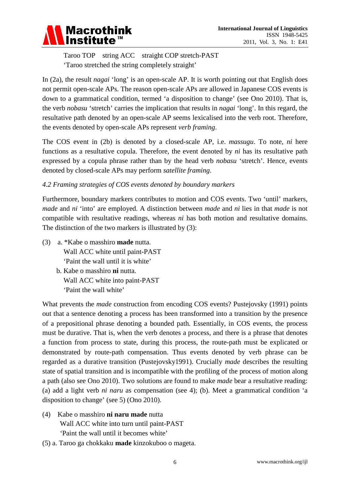

 Taroo TOP string ACC straight COP stretch-PAST 'Taroo stretched the string completely straight'

In (2a), the result *nagai* 'long' is an open-scale AP. It is worth pointing out that English does not permit open-scale APs. The reason open-scale APs are allowed in Japanese COS events is down to a grammatical condition, termed 'a disposition to change' (see Ono 2010). That is, the verb *nobasu* 'stretch' carries the implication that results in *nagai* 'long'. In this regard, the resultative path denoted by an open-scale AP seems lexicalised into the verb root. Therefore, the events denoted by open-scale APs represent *verb framing*.

The COS event in (2b) is denoted by a closed-scale AP, i.e. *massugu*. To note, *ni* here functions as a resultative copula. Therefore, the event denoted by *ni* has its resultative path expressed by a copula phrase rather than by the head verb *nobasu* 'stretch'. Hence, events denoted by closed-scale APs may perform *satellite framing*.

## *4.2 Framing strategies of COS events denoted by boundary markers*

Furthermore, boundary markers contributes to motion and COS events. Two 'until' markers, *made* and *ni* 'into' are employed. A distinction between *made* and *ni* lies in that *made* is not compatible with resultative readings, whereas *ni* has both motion and resultative domains. The distinction of the two markers is illustrated by (3):

- (3) a. \*Kabe o masshiro **made** nutta. Wall ACC white until paint-PAST 'Paint the wall until it is white'
	- b. Kabe o masshiro **ni** nutta. Wall ACC white into paint-PAST 'Paint the wall white'

What prevents the *made* construction from encoding COS events? Pustejovsky (1991) points out that a sentence denoting a process has been transformed into a transition by the presence of a prepositional phrase denoting a bounded path. Essentially, in COS events, the process must be durative. That is, when the verb denotes a process, and there is a phrase that denotes a function from process to state, during this process, the route-path must be explicated or demonstrated by route-path compensation. Thus events denoted by verb phrase can be regarded as a durative transition (Pustejovsky1991). Crucially *made* describes the resulting state of spatial transition and is incompatible with the profiling of the process of motion along a path (also see Ono 2010). Two solutions are found to make *made* bear a resultative reading: (a) add a light verb *ni naru* as compensation (see 4); (b). Meet a grammatical condition 'a disposition to change' (see 5) (Ono 2010).

- (4) Kabe o masshiro **ni naru made** nutta Wall ACC white into turn until paint-PAST 'Paint the wall until it becomes white'
- (5) a. Taroo ga chokkaku **made** kinzokuboo o mageta.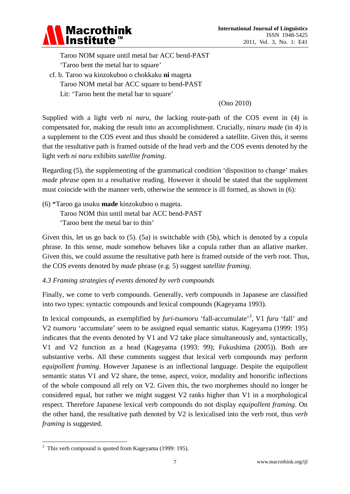

 Taroo NOM square until metal bar ACC bend-PAST 'Taroo bent the metal bar to square' cf. b. Taroo wa kinzokuboo o chokkaku **ni** mageta

 Taroo NOM metal bar ACC square to bend-PAST Lit: 'Taroo bent the metal bar to square'

(Ono 2010)

Supplied with a light verb *ni naru*, the lacking route-path of the COS event in (4) is compensated for, making the result into an accomplishment. Crucially, *ninaru made* (in 4) is a supplement to the COS event and thus should be considered a satellite. Given this, it seems that the resultative path is framed outside of the head verb and the COS events denoted by the light verb *ni naru* exhibits *satellite framing*.

Regarding (5), the supplementing of the grammatical condition 'disposition to change' makes *made phrase* open to a resultative reading. However it should be stated that the supplement must coincide with the manner verb*,* otherwise the sentence is ill formed, as shown in (6):

(6) \*Taroo ga usuku **made** kinzokuboo o mageta. Taroo NOM thin until metal bar ACC bend-PAST

'Taroo bent the metal bar to thin'

Given this, let us go back to  $(5)$ .  $(5a)$  is switchable with  $(5b)$ , which is denoted by a copula phrase. In this sense, *made* somehow behaves like a copula rather than an allative marker. Given this, we could assume the resultative path here is framed outside of the verb root. Thus, the COS events denoted by *made* phrase (e.g. 5) suggest *satellite framing*.

*4.3 Framing strategies of events denoted by verb compounds*

Finally, we come to verb compounds. Generally, verb compounds in Japanese are classified into two types: syntactic compounds and lexical compounds (Kageyama 1993).

In lexical compounds, as exemplified by *furi-tsumoru* 'fall-accumulate'<sup>3</sup>, V1 *furu* 'fall' and V2 *tsumoru* 'accumulate' seem to be assigned equal semantic status. Kageyama (1999: 195) indicates that the events denoted by V1 and V2 take place simultaneously and, syntactically, V1 and V2 function as a head (Kageyama (1993: 99); Fukushima (2005)). Both are substantive verbs. All these comments suggest that lexical verb compounds may perform *equipollent framing*. However Japanese is an inflectional language. Despite the equipollent semantic status V1 and V2 share, the tense, aspect, voice, modality and honorific inflections of the whole compound all rely on V2. Given this, the two morphemes should no longer be considered equal, but rather we might suggest V2 ranks higher than V1 in a morphological respect. Therefore Japanese lexical verb compounds do not display *equipollent framing*. On the other hand, the resultative path denoted by V2 is lexicalised into the verb root, thus *verb framing* is suggested.

<sup>&</sup>lt;sup>3</sup> This verb compound is quoted from Kageyama (1999: 195).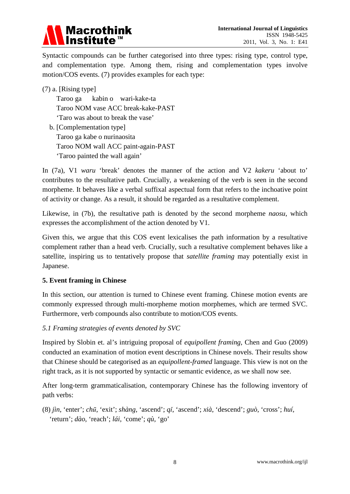## **Macrothink** Institute

Syntactic compounds can be further categorised into three types: rising type, control type, and complementation type. Among them, rising and complementation types involve motion/COS events. (7) provides examples for each type:

(7) a. [Rising type]

 Taroo ga kabin o wari-kake-ta Taroo NOM vase ACC break-kake-PAST 'Taro was about to break the vase'

 b. [Complementation type] Taroo ga kabe o nurinaosita Taroo NOM wall ACC paint-again-PAST 'Taroo painted the wall again'

In (7a), V1 *waru* 'break' denotes the manner of the action and V2 *kakeru* 'about to' contributes to the resultative path. Crucially, a weakening of the verb is seen in the second morpheme. It behaves like a verbal suffixal aspectual form that refers to the inchoative point of activity or change. As a result, it should be regarded as a resultative complement.

Likewise, in (7b), the resultative path is denoted by the second morpheme *naosu*, which expresses the accomplishment of the action denoted by V1.

Given this, we argue that this COS event lexicalises the path information by a resultative complement rather than a head verb. Crucially, such a resultative complement behaves like a satellite, inspiring us to tentatively propose that *satellite framing* may potentially exist in Japanese.

## **5. Event framing in Chinese**

In this section, our attention is turned to Chinese event framing. Chinese motion events are commonly expressed through multi-morpheme motion morphemes, which are termed SVC. Furthermore, verb compounds also contribute to motion/COS events.

*5.1 Framing strategies of events denoted by SVC*

Inspired by Slobin et. al's intriguing proposal of *equipollent framing*, Chen and Guo (2009) conducted an examination of motion event descriptions in Chinese novels. Their results show that Chinese should be categorised as an *equipollent-framed* language. This view is not on the right track, as it is not supported by syntactic or semantic evidence, as we shall now see.

After long-term grammaticalisation, contemporary Chinese has the following inventory of path verbs:

(8) *jìn*, 'enter'; *chū*, 'exit'; *shàng*, 'ascend'; *qǐ*, 'ascend'; *xià*, 'descend'; *guò*, 'cross'; *huí,* 'return'; *dào*, 'reach'; *lái*, 'come'; *qù*, 'go'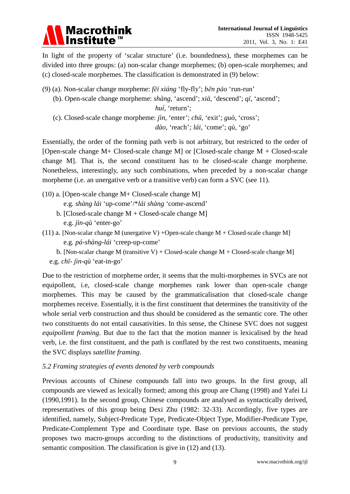# Macrothink<br>Institute™

In light of the property of 'scalar structure' (i.e. boundedness), these morphemes can be divided into three groups: (a) non-scalar change morphemes; (b) open-scale morphemes; and (c) closed-scale morphemes. The classification is demonstrated in (9) below:

- (9) (a). Non-scalar change morpheme: *fēi xiáng* 'fly-fly'; *bēn pǎo* 'run-run'
	- (b). Open-scale change morpheme: *shàng*, 'ascend'; *xià*, 'descend'; *qǐ*, 'ascend';

*huí,* 'return';

(c). Closed-scale change morpheme: *jìn*, 'enter'; *chū*, 'exit'; *guò*, 'cross';

 *dào*, 'reach'*; lái*, 'come'; *qù*, 'go'

Essentially, the order of the forming path verb is not arbitrary, but restricted to the order of [Open-scale change  $M+$  Closed-scale change M] or [Closed-scale change  $M+$  Closed-scale change M]. That is, the second constituent has to be closed-scale change morpheme. Nonetheless, interestingly, any such combinations, when preceded by a non-scalar change morpheme (i.e. an unergative verb or a transitive verb) can form a SVC (see 11).

(10) a. [Open-scale change M+ Closed-scale change M]

e.g. *shàng lái* 'up-come'/\**lái shàng* 'come-ascend'

- b. [Closed-scale change M + Closed-scale change M] e.g. *jìn-qù* 'enter-go'
- (11) a. [Non-scalar change M (unergative V) +Open-scale change  $M$  + Closed-scale change M] e.g. *pá-shàng-lái* 'creep-up-come'
	- b. [Non-scalar change M (transitive V) + Closed-scale change  $M$  + Closed-scale change M]
	- e.g. *chī- jìn-qù* 'eat-in-go'

Due to the restriction of morpheme order, it seems that the multi-morphemes in SVCs are not equipollent, i.e, closed-scale change morphemes rank lower than open-scale change morphemes. This may be caused by the grammaticalisation that closed-scale change morphemes receive. Essentially, it is the first constituent that determines the transitivity of the whole serial verb construction and thus should be considered as the semantic core. The other two constituents do not entail causativities. In this sense, the Chinese SVC does not suggest *equipollent framing*. But due to the fact that the motion manner is lexicalised by the head verb, i.e. the first constituent, and the path is conflated by the rest two constituents, meaning the SVC displays *satellite framing*.

## *5.2 Framing strategies of events denoted by verb compounds*

Previous accounts of Chinese compounds fall into two groups. In the first group, all compounds are viewed as lexically formed; among this group are Chang (1998) and Yafei Li (1990,1991). In the second group, Chinese compounds are analysed as syntactically derived, representatives of this group being Dexi Zhu (1982: 32-33). Accordingly, five types are identified, namely, Subject-Predicate Type, Predicate-Object Type, Modifier-Predicate Type, Predicate-Complement Type and Coordinate type. Base on previous accounts, the study proposes two macro-groups according to the distinctions of productivity, transitivity and semantic composition. The classification is give in (12) and (13).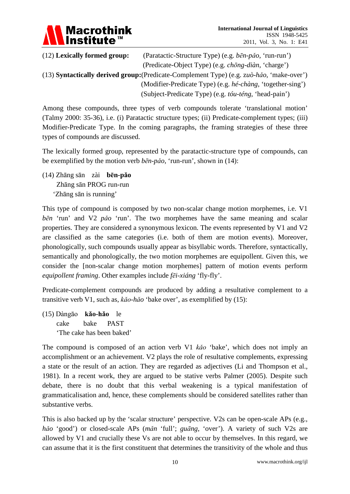

| (12) Lexically formed group: | (Paratactic-Structure Type) (e.g. <i>bēn-pǎo</i> , 'run-run')                             |
|------------------------------|-------------------------------------------------------------------------------------------|
|                              | (Predicate-Object Type) (e.g. <i>chong-diàn</i> , 'charge')                               |
|                              | (13) Syntactically derived group: (Predicate-Complement Type) (e.g. zuò-hǎo, 'make-over') |
|                              | (Modifier-Predicate Type) (e.g. hé-chàng, 'together-sing')                                |
|                              | (Subject-Predicate Type) (e.g. <i>tóu-téng</i> , 'head-pain')                             |

Among these compounds, three types of verb compounds tolerate 'translational motion' (Talmy 2000: 35-36), i.e. (i) Paratactic structure types; (ii) Predicate-complement types; (iii) Modifier-Predicate Type. In the coming paragraphs, the framing strategies of these three types of compounds are discussed.

The lexically formed group, represented by the paratactic-structure type of compounds, can be exemplified by the motion verb *bēn-pǎo*, 'run-run', shown in (14):

(14) Zhāng sān zài **bēn-pǎo** Zhāng sān PROG run-run 'Zhāng sān is running'

This type of compound is composed by two non-scalar change motion morphemes, i.e. V1 *bēn* 'run' and V2 *pǎo* 'run'. The two morphemes have the same meaning and scalar properties. They are considered a synonymous lexicon. The events represented by V1 and V2 are classified as the same categories (i.e. both of them are motion events). Moreover, phonologically, such compounds usually appear as bisyllabic words. Therefore, syntactically, semantically and phonologically, the two motion morphemes are equipollent. Given this, we consider the [non-scalar change motion morphemes] pattern of motion events perform *equipollent framing*. Other examples include *fēi-xiáng* 'fly-fly'.

Predicate-complement compounds are produced by adding a resultative complement to a transitive verb V1, such as, *kǎo-hǎo* 'bake over', as exemplified by (15):

(15) Dàngāo **kǎo-hǎo** le cake bake PAST 'The cake has been baked'

The compound is composed of an action verb V1 *kǎo* 'bake', which does not imply an accomplishment or an achievement. V2 plays the role of resultative complements, expressing a state or the result of an action. They are regarded as adjectives (Li and Thompson et al., 1981). In a recent work, they are argued to be stative verbs Palmer (2005). Despite such debate, there is no doubt that this verbal weakening is a typical manifestation of grammaticalisation and, hence, these complements should be considered satellites rather than substantive verbs.

This is also backed up by the 'scalar structure' perspective. V2s can be open-scale APs (e.g., *hǎo* 'good') or closed-scale APs (*mǎn* 'full'; *guāng*, 'over'). A variety of such V2s are allowed by V1 and crucially these Vs are not able to occur by themselves. In this regard, we can assume that it is the first constituent that determines the transitivity of the whole and thus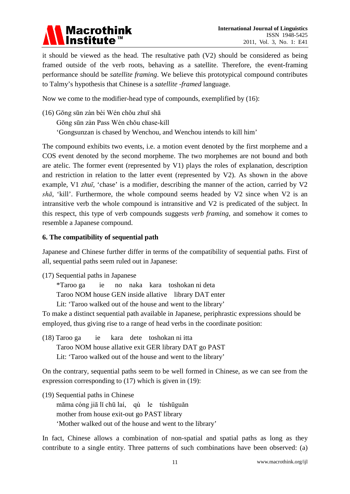## Macrothink<br>Institute™

it should be viewed as the head. The resultative path (V2) should be considered as being framed outside of the verb roots, behaving as a satellite. Therefore, the event-framing performance should be *satellite framing*. We believe this prototypical compound contributes to Talmy's hypothesis that Chinese is a *satellite -framed* language.

Now we come to the modifier-head type of compounds, exemplified by (16):

(16) Gōng sūn zàn bèi Wén chǒu zhuī shā

Gōng sūn zàn Pass Wén chǒu chase-kill

'Gongsunzan is chased by Wenchou, and Wenchou intends to kill him'

The compound exhibits two events, i.e. a motion event denoted by the first morpheme and a COS event denoted by the second morpheme. The two morphemes are not bound and both are atelic. The former event (represented by V1) plays the roles of explanation, description and restriction in relation to the latter event (represented by V2). As shown in the above example, V1 *zhuī*, 'chase' is a modifier, describing the manner of the action, carried by V2 *shā*, 'kill'. Furthermore, the whole compound seems headed by V2 since when V2 is an intransitive verb the whole compound is intransitive and V2 is predicated of the subject. In this respect, this type of verb compounds suggests *verb framing*, and somehow it comes to resemble a Japanese compound.

## **6. The compatibility of sequential path**

Japanese and Chinese further differ in terms of the compatibility of sequential paths. First of all, sequential paths seem ruled out in Japanese:

(17) Sequential paths in Japanese

 \*Taroo ga ie no naka kara toshokan ni deta Taroo NOM house GEN inside allative library DAT enter Lit: 'Taroo walked out of the house and went to the library'

To make a distinct sequential path available in Japanese, periphrastic expressions should be employed, thus giving rise to a range of head verbs in the coordinate position:

(18) Taroo ga ie kara dete toshokan ni itta Taroo NOM house allative exit GER library DAT go PAST Lit: 'Taroo walked out of the house and went to the library'

On the contrary, sequential paths seem to be well formed in Chinese, as we can see from the expression corresponding to (17) which is given in (19):

(19) Sequential paths in Chinese māma cóng jiā lǐ chū laí, qù le túshūguǎn mother from house exit-out go PAST library 'Mother walked out of the house and went to the library'

In fact, Chinese allows a combination of non-spatial and spatial paths as long as they contribute to a single entity. Three patterns of such combinations have been observed: (a)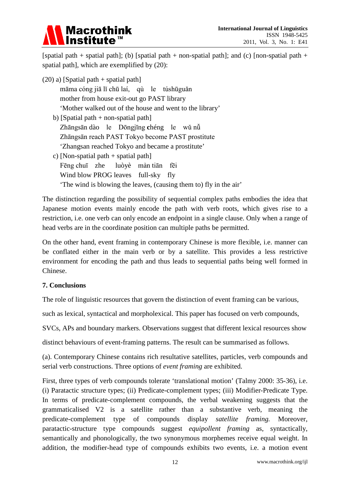

[spatial path + spatial path]; (b) [spatial path + non-spatial path]; and (c) [non-spatial path + spatial path], which are exemplified by (20):

 $(20)$  a) [Spatial path + spatial path] māma cóng jiā lǐ chū laí, qù le túshūguǎn mother from house exit-out go PAST library 'Mother walked out of the house and went to the library' b) [Spatial path + non-spatial path] Zhāngsān dàole Dōngjīng **c**héng le wǔ nǚ Zhāngsān reach PAST Tokyo become PAST prostitute 'Zhangsan reached Tokyo and became a prostitute' c) [Non-spatial path + spatial path] Fēng chuī zhe luòyè màn tiān fēi Wind blow PROG leaves full-sky fly 'The wind is blowing the leaves, (causing them to) fly in the air'

The distinction regarding the possibility of sequential complex paths embodies the idea that Japanese motion events mainly encode the path with verb roots, which gives rise to a restriction, i.e. one verb can only encode an endpoint in a single clause. Only when a range of head verbs are in the coordinate position can multiple paths be permitted.

On the other hand, event framing in contemporary Chinese is more flexible, i.e. manner can be conflated either in the main verb or by a satellite. This provides a less restrictive environment for encoding the path and thus leads to sequential paths being well formed in Chinese.

## **7. Conclusions**

The role of linguistic resources that govern the distinction of event framing can be various,

such as lexical, syntactical and morpholexical. This paper has focused on verb compounds,

SVCs, APs and boundary markers. Observations suggest that different lexical resources show

distinct behaviours of event-framing patterns. The result can be summarised as follows.

(a). Contemporary Chinese contains rich resultative satellites, particles, verb compounds and serial verb constructions. Three options of *event framing* are exhibited.

First, three types of verb compounds tolerate 'translational motion' (Talmy 2000: 35-36), i.e. (i) Paratactic structure types; (ii) Predicate-complement types; (iii) Modifier-Predicate Type. In terms of predicate-complement compounds, the verbal weakening suggests that the grammaticalised V2 is a satellite rather than a substantive verb, meaning the predicate-complement type of compounds display *satellite framing.* Moreover, paratactic-structure type compounds suggest *equipollent framing* as, syntactically, semantically and phonologically, the two synonymous morphemes receive equal weight. In addition, the modifier-head type of compounds exhibits two events, i.e. a motion event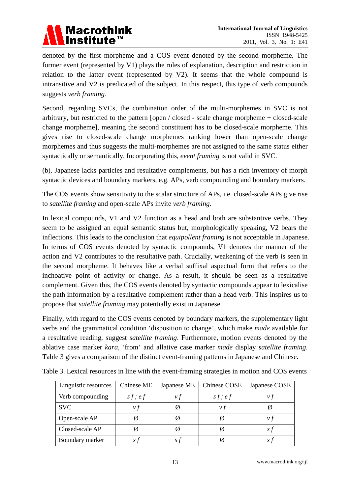

denoted by the first morpheme and a COS event denoted by the second morpheme. The former event (represented by V1) plays the roles of explanation, description and restriction in relation to the latter event (represented by V2). It seems that the whole compound is intransitive and V2 is predicated of the subject. In this respect, this type of verb compounds suggests *verb framing.*

Second, regarding SVCs, the combination order of the multi-morphemes in SVC is not arbitrary, but restricted to the pattern [open / closed - scale change morpheme + closed-scale change morpheme], meaning the second constituent has to be closed-scale morpheme. This gives rise to closed-scale change morphemes ranking lower than open-scale change morphemes and thus suggests the multi-morphemes are not assigned to the same status either syntactically or semantically. Incorporating this, *event framing* is not valid in SVC.

(b). Japanese lacks particles and resultative complements, but has a rich inventory of morph syntactic devices and boundary markers, e.g. APs, verb compounding and boundary markers.

The COS events show sensitivity to the scalar structure of APs, i.e. closed-scale APs give rise to *satellite framing* and open-scale APs invite *verb framing*.

In lexical compounds, V1 and V2 function as a head and both are substantive verbs. They seem to be assigned an equal semantic status but, morphologically speaking, V2 bears the inflections. This leads to the conclusion that *equipollent framing* is not acceptable in Japanese. In terms of COS events denoted by syntactic compounds, V1 denotes the manner of the action and V2 contributes to the resultative path. Crucially, weakening of the verb is seen in the second morpheme. It behaves like a verbal suffixal aspectual form that refers to the inchoative point of activity or change. As a result, it should be seen as a resultative complement. Given this, the COS events denoted by syntactic compounds appear to lexicalise the path information by a resultative complement rather than a head verb. This inspires us to propose that *satellite framing* may potentially exist in Japanese.

Finally, with regard to the COS events denoted by boundary markers, the supplementary light verbs and the grammatical condition 'disposition to change', which make *made* available for a resultative reading, suggest *satellite framing*. Furthermore, motion events denoted by the ablative case marker *kara, '*from' and allative case marker *made* display *satellite framing*. Table 3 gives a comparison of the distinct event-framing patterns in Japanese and Chinese.

| Linguistic resources | Chinese ME    | Japanese ME | Chinese COSE  | Japanese COSE |
|----------------------|---------------|-------------|---------------|---------------|
| Verb compounding     | $s f$ ; $e f$ | νt          | $s f$ ; $e f$ |               |
| <b>SVC</b>           | νf            |             | νt            |               |
| Open-scale AP        |               |             |               |               |
| Closed-scale AP      |               |             |               |               |
| Boundary marker      |               |             |               |               |

Table 3. Lexical resources in line with the event-framing strategies in motion and COS events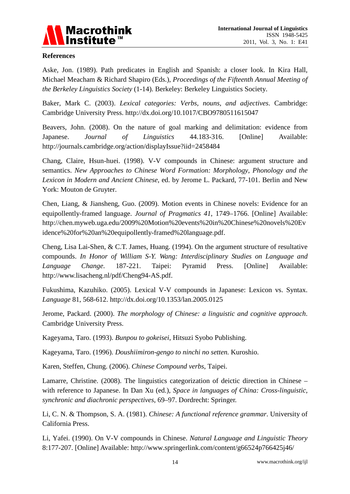

### **References**

Aske, Jon. (1989). Path predicates in English and Spanish: a closer look. In Kira Hall, Michael Meacham & Richard Shapiro (Eds.), *Proceedings of the Fifteenth Annual Meeting of the Berkeley Linguistics Society* (1-14). Berkeley: Berkeley Linguistics Society.

Baker, Mark C. (2003). *Lexical categories: Verbs, nouns, and adjectives*. Cambridge: Cambridge University Press. http://dx.doi.org/10.1017/CBO9780511615047

Beavers, John. (2008). On the nature of goal marking and delimitation: evidence from Japanese. *Journal of Linguistics* 44.183-316. [Online] Available: http://journals.cambridge.org/action/displayIssue?iid=2458484

Chang, Claire, Hsun-huei. (1998). V-V compounds in Chinese: argument structure and semantics. *New Approaches to Chinese Word Formation: Morphology, Phonology and the Lexicon in Modern and Ancient Chinese*, ed. by Jerome L. Packard, 77-101. Berlin and New York: Mouton de Gruyter.

Chen, Liang, & Jiansheng, Guo. (2009). Motion events in Chinese novels: Evidence for an equipollently-framed language. *Journal of Pragmatics 41*, 1749–1766. [Online] Available: http://chen.myweb.uga.edu/2009%20Motion%20events%20in%20Chinese%20novels%20Ev idence%20for%20an%20equipollently-framed%20language.pdf.

Cheng, Lisa Lai-Shen, & C.T. James, Huang. (1994). On the argument structure of resultative compounds. *In Honor of William S-Y. Wang: Interdisciplinary Studies on Language and Language Change*. 187-221. Taipei: Pyramid Press. [Online] Available: http://www.lisacheng.nl/pdf/Cheng94-AS.pdf.

Fukushima, Kazuhiko. (2005). Lexical V-V compounds in Japanese: Lexicon vs. Syntax. *Language* 81, 568-612. http://dx.doi.org/10.1353/lan.2005.0125

Jerome, Packard. (2000). *The morphology of Chinese: a linguistic and cognitive approach*. Cambridge University Press.

Kageyama, Taro. (1993). *Bunpou to gokeisei*, Hitsuzi Syobo Publishing.

Kageyama, Taro. (1996). *Doushiimiron-gengo to ninchi no setten.* Kuroshio.

Karen, Steffen, Chung. (2006). *Chinese Compound verbs*, Taipei.

Lamarre, Christine. (2008). The linguistics categorization of deictic direction in Chinese – with reference to Japanese. In Dan Xu (ed.), *Space in languages of China: Cross-linguistic, synchronic and diachronic perspectives*, 69–97. Dordrecht: Springer.

Li, C. N. & Thompson, S. A. (1981). *Chinese: A functional reference grammar*. University of California Press.

Li, Yafei. (1990). On V-V compounds in Chinese. *Natural Language and Linguistic Theory* 8:177-207. [Online] Available: http://www.springerlink.com/content/g66524p766425j46/